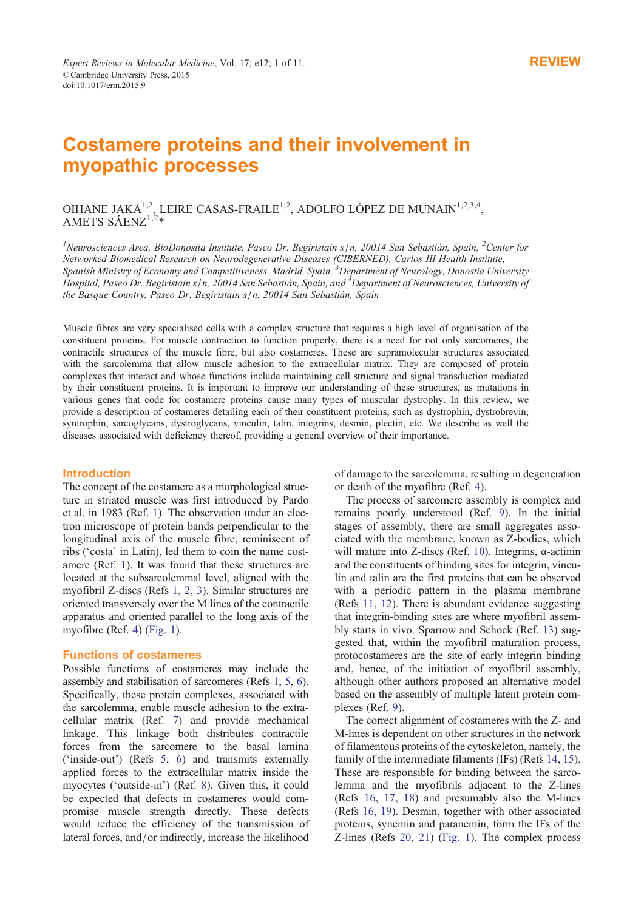# Costamere proteins and their involvement in myopathic processes

## OIHANE JAKA<sup>1,2</sup>, LEIRE CASAS-FRAILE<sup>1,2</sup>, ADOLFO LÓPEZ DE MUNAIN<sup>1,2,3,4</sup>, AMETS SÁEN $Z^{1,2*}$

<sup>1</sup>Neurosciences Area, BioDonostia Institute, Paseo Dr. Begiristain s/n, 20014 San Sebastián, Spain, <sup>2</sup>Center for Networked Biomedical Research on Neurodegenerative Diseases (CIBERNED), Carlos III Health Institute, Spanish Ministry of Economy and Competitiveness, Madrid, Spain, <sup>3</sup>Department of Neurology, Donostia University Hospital, Paseo Dr. Begiristain s/n, 20014 San Sebastián, Spain, and <sup>4</sup> Department of Neurosciences, University of the Basque Country, Paseo Dr. Begiristain s/n, 20014 San Sebastián, Spain

Muscle fibres are very specialised cells with a complex structure that requires a high level of organisation of the constituent proteins. For muscle contraction to function properly, there is a need for not only sarcomeres, the contractile structures of the muscle fibre, but also costameres. These are supramolecular structures associated with the sarcolemma that allow muscle adhesion to the extracellular matrix. They are composed of protein complexes that interact and whose functions include maintaining cell structure and signal transduction mediated by their constituent proteins. It is important to improve our understanding of these structures, as mutations in various genes that code for costamere proteins cause many types of muscular dystrophy. In this review, we provide a description of costameres detailing each of their constituent proteins, such as dystrophin, dystrobrevin, syntrophin, sarcoglycans, dystroglycans, vinculin, talin, integrins, desmin, plectin, etc. We describe as well the diseases associated with deficiency thereof, providing a general overview of their importance.

### **Introduction**

The concept of the costamere as a morphological structure in striated muscle was first introduced by Pardo et al. in 1983 (Ref. 1). The observation under an electron microscope of protein bands perpendicular to the longitudinal axis of the muscle fibre, reminiscent of ribs ('costa' in Latin), led them to coin the name costamere (Ref. 1). It [wa](#page-6-0)s found that these structures are located at the subsarcolemmal level, aligned with the myofibril Z-discs (Refs 1, 2, 3). Similar structures are oriented transversely over the M lines of the contractile apparatus an[d](#page-6-0) oriented parallel to the long axis of the myofibre (Ref. 4) (Fig. 1).

### Functions of costa[mere](#page-6-0)[s](#page-7-0)

Possible functions of costameres may include the assembly and s[tab](#page-7-0)i[lisation](#page-1-0) of sarcomeres (Refs 1, 5, 6). Specifically, these protein complexes, associated with the sarcolemma, enable muscle adhesion to the extracellular matrix (Ref. 7) and provide mechanical linkage. This linkage both distributes co[nt](#page-6-0)r[actil](#page-7-0)e forces from the sarcomere to the basal lamina ('inside-out') (Refs 5, 6) and transmits externally applied forces to the e[xt](#page-7-0)racellular matrix inside the myocytes ('outside-in') (Ref. 8). Given this, it could be expected that defects in costameres would compromise muscle st[rength](#page-7-0) directly. These defects would reduce the efficiency of the transmission of lateral forces, and/or indirectl[y,](#page-7-0) increase the likelihood

of damage to the sarcolemma, resulting in degeneration or death of the myofibre (Ref. 4).

The process of sarcomere assembly is complex and remains poorly understood (Ref. 9). In the initial stages of assembly, there are small aggregates associated with the membrane, kn[ow](#page-7-0)n as Z-bodies, which will mature into Z-discs (Ref. 10). Integrins, α-actinin and the constituents of binding sites [fo](#page-7-0)r integrin, vinculin and talin are the first proteins that can be observed with a periodic pattern in the plasma membrane (Refs 11, 12). There is abund[ant](#page-7-0) evidence suggesting that integrin-binding sites are where myofibril assembly starts in vivo. Sparrow and Schock (Ref. 13) suggested that, within the myofibril maturation process, proto[costame](#page-7-0)res are the site of early integrin binding and, hence, of the initiation of myofibril assembly, although other authors proposed an alternati[ve m](#page-7-0)odel based on the assembly of multiple latent protein complexes (Ref. 9).

The correct alignment of costameres with the Z- and M-lines is dependent on other structures in the network of filamentous proteins of the cytoskeleton, namely, the family of the [in](#page-7-0)termediate filaments (IFs) (Refs 14, 15). These are responsible for binding between the sarcolemma and the myofibrils adjacent to the Z-lines (Refs 16, 17, 18) and presumably also the M-lines (Refs 16, 19). Desmin, together with other as[soc](#page-7-0)i[ate](#page-7-0)d proteins, synemin and paranemin, form the IFs of the Z-lines (Refs 20, 21) (Fig. 1). The complex process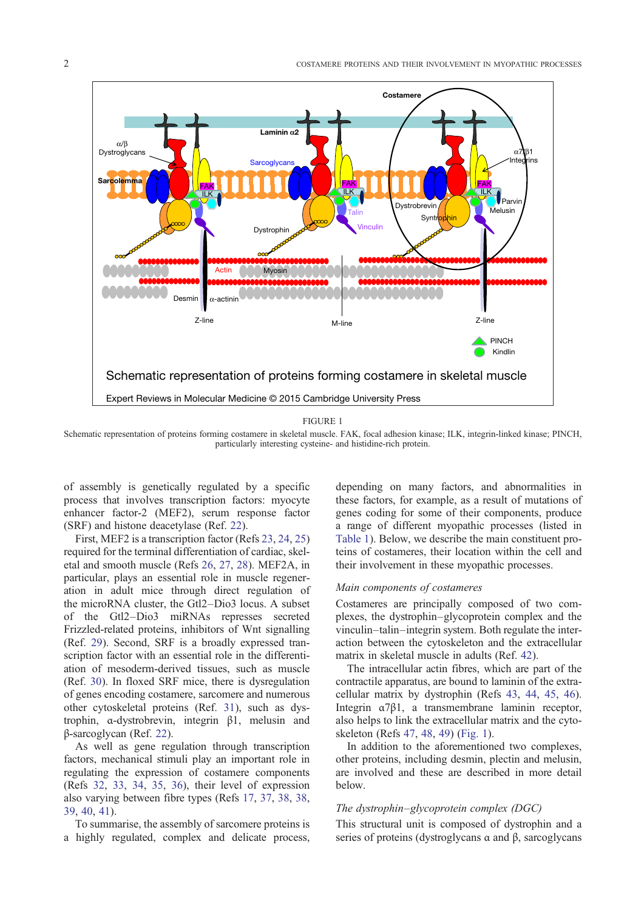<span id="page-1-0"></span>

FIGURE 1

Schematic representation of proteins forming costamere in skeletal muscle. FAK, focal adhesion kinase; ILK, integrin-linked kinase; PINCH, particularly interesting cysteine- and histidine-rich protein.

of assembly is genetically regulated by a specific process that involves transcription factors: myocyte enhancer factor-2 (MEF2), serum response factor (SRF) and histone deacetylase (Ref. 22).

First, MEF2 is a transcription factor (Refs 23, 24, 25) required for the terminal differentiation of cardiac, skeletal and smooth muscle (Refs 26, 27, 28). MEF2A, in particular, plays an essential role i[n m](#page-7-0)uscle regeneration in adult mice through direct reg[ulation o](#page-7-0)f the microRNA cluster, the Gtl2–Dio3 locus. A subset of the Gtl2–Dio3 miRN[As repres](#page-7-0)ses secreted Frizzled-related proteins, inhibitors of Wnt signalling (Ref. 29). Second, SRF is a broadly expressed transcription factor with an essential role in the differentiation of mesoderm-derived tissues, such as muscle (Ref. 30). In floxed SRF mice, there is dysregulation of ge[nes](#page-7-0) encoding costamere, sarcomere and numerous other cytoskeletal proteins (Ref. 31), such as dystrophin, α-dystrobrevin, integrin β1, melusin and β-sar[cog](#page-7-0)lycan (Ref. 22).

As well as gene regulation through transcription factors, mechanical stimuli play a[n im](#page-7-0)portant role in regulating the expression of costamere components (Refs 32, 33, 34, [35,](#page-7-0) 36), their level of expression also varying between fibre types (Refs 17, 37, 38, 38, 39, 40, 41).

To summarise, the assembly of sarcomere proteins is a hig[hly reg](#page-7-0)u[lated, comp](#page-7-0)lex and delicate process, depending on many factors, and abnormalities in these factors, for example, as a result of mutations of genes coding for some of their components, produce a range of different myopathic processes (listed in Table 1). Below, we describe the main constituent proteins of costameres, their location within the cell and their involvement in these myopathic processes.

### [Main co](#page-2-0)mponents of costameres

Costameres are principally composed of two complexes, the dystrophin–glycoprotein complex and the vinculin–talin–integrin system. Both regulate the interaction between the cytoskeleton and the extracellular matrix in skeletal muscle in adults (Ref. 42).

The intracellular actin fibres, which are part of the contractile apparatus, are bound to laminin of the extracellular matrix by dystrophin (Refs 43, 44, 45, 46). Integrin α7β1, a transmembrane lami[nin](#page-7-0) receptor, also helps to link the extracellular matrix and the cytoskeleton (Refs 47, 48, 49) (Fig. 1).

In addition to the aforementioned [two comp](#page-7-0)le[xes](#page-7-0), other proteins, including desmin, plectin and melusin, are involved and these are described in more detail below.

### The dystrophin–glycoprotein complex (DGC)

This structural unit is composed of dystrophin and a series of proteins (dystroglycans α and β, sarcoglycans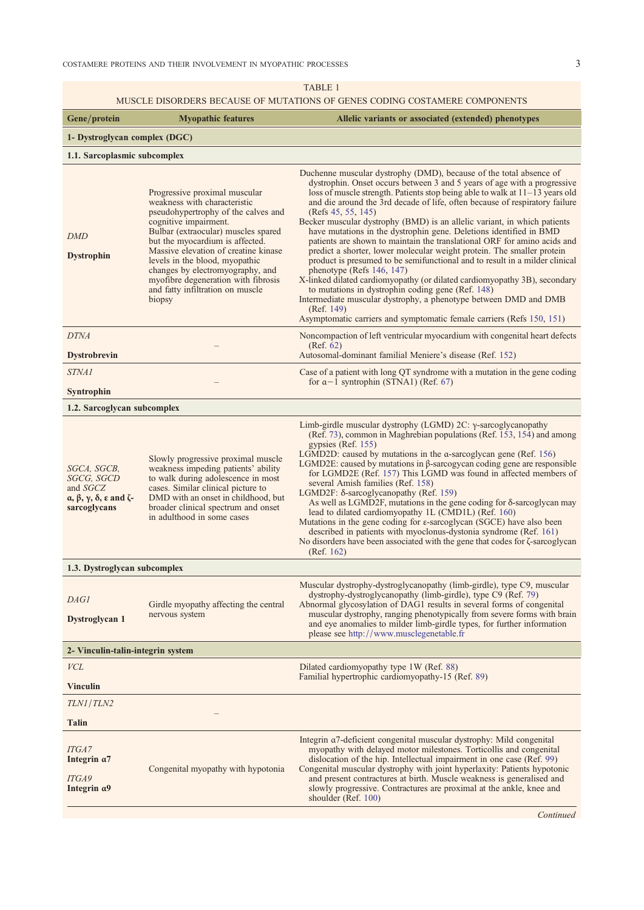TABLE 1

## MUSCLE DISORDERS BECAUSE OF MUTATIONS OF GENES CODING COSTAMERE COMPONENTS

<span id="page-2-0"></span>

|                                                                                                                                 |                                                                                                                                                                                                                                                                                                                                                                                                            | <u>MUSCLE DISORDERS BECAUSE OF MUTATIONS OF GENES CODING COSTAMERE COMPONENTS</u>                                                                                                                                                                                                                                                                                                                                                                                                                                                                                                                                                                                                                                                                                                                                                                                                                                                                                                                                                                         |  |
|---------------------------------------------------------------------------------------------------------------------------------|------------------------------------------------------------------------------------------------------------------------------------------------------------------------------------------------------------------------------------------------------------------------------------------------------------------------------------------------------------------------------------------------------------|-----------------------------------------------------------------------------------------------------------------------------------------------------------------------------------------------------------------------------------------------------------------------------------------------------------------------------------------------------------------------------------------------------------------------------------------------------------------------------------------------------------------------------------------------------------------------------------------------------------------------------------------------------------------------------------------------------------------------------------------------------------------------------------------------------------------------------------------------------------------------------------------------------------------------------------------------------------------------------------------------------------------------------------------------------------|--|
| Gene/protein                                                                                                                    | <b>Myopathic features</b>                                                                                                                                                                                                                                                                                                                                                                                  | Allelic variants or associated (extended) phenotypes                                                                                                                                                                                                                                                                                                                                                                                                                                                                                                                                                                                                                                                                                                                                                                                                                                                                                                                                                                                                      |  |
| 1- Dystroglycan complex (DGC)                                                                                                   |                                                                                                                                                                                                                                                                                                                                                                                                            |                                                                                                                                                                                                                                                                                                                                                                                                                                                                                                                                                                                                                                                                                                                                                                                                                                                                                                                                                                                                                                                           |  |
| 1.1. Sarcoplasmic subcomplex                                                                                                    |                                                                                                                                                                                                                                                                                                                                                                                                            |                                                                                                                                                                                                                                                                                                                                                                                                                                                                                                                                                                                                                                                                                                                                                                                                                                                                                                                                                                                                                                                           |  |
| <b>DMD</b><br><b>Dystrophin</b>                                                                                                 | Progressive proximal muscular<br>weakness with characteristic<br>pseudohypertrophy of the calves and<br>cognitive impairment.<br>Bulbar (extraocular) muscles spared<br>but the myocardium is affected.<br>Massive elevation of creatine kinase<br>levels in the blood, myopathic<br>changes by electromyography, and<br>myofibre degeneration with fibrosis<br>and fatty infiltration on muscle<br>biopsy | Duchenne muscular dystrophy (DMD), because of the total absence of<br>dystrophin. Onset occurs between 3 and 5 years of age with a progressive<br>loss of muscle strength. Patients stop being able to walk at $11-13$ years old<br>and die around the 3rd decade of life, often because of respiratory failure<br>(Refs 45, 55, 145)<br>Becker muscular dystrophy (BMD) is an allelic variant, in which patients<br>have mutations in the dystrophin gene. Deletions identified in BMD<br>patients are shown to maintain the translational ORF for amino acids and<br>predict a shorter, lower molecular weight protein. The smaller protein<br>product is presumed to be semifunctional and to result in a milder clinical<br>phenotype (Refs $146, 147$ )<br>X-linked dilated cardiomyopathy (or dilated cardiomyopathy 3B), secondary<br>to mutations in dystrophin coding gene (Ref. 148)<br>Intermediate muscular dystrophy, a phenotype between DMD and DMB<br>(Ref. 149)<br>Asymptomatic carriers and symptomatic female carriers (Refs 150, 151) |  |
| <b>DTNA</b><br><b>Dystrobrevin</b>                                                                                              |                                                                                                                                                                                                                                                                                                                                                                                                            | Noncompaction of left ventricular myocardium with congenital heart defects<br>(Ref. 62)<br>Autosomal-dominant familial Meniere's disease (Ref. 152)                                                                                                                                                                                                                                                                                                                                                                                                                                                                                                                                                                                                                                                                                                                                                                                                                                                                                                       |  |
| <i>STNA1</i>                                                                                                                    |                                                                                                                                                                                                                                                                                                                                                                                                            | Case of a patient with long QT syndrome with a mutation in the gene coding                                                                                                                                                                                                                                                                                                                                                                                                                                                                                                                                                                                                                                                                                                                                                                                                                                                                                                                                                                                |  |
| Syntrophin                                                                                                                      |                                                                                                                                                                                                                                                                                                                                                                                                            | for $\alpha - 1$ syntrophin (STNA1) (Ref. 67)                                                                                                                                                                                                                                                                                                                                                                                                                                                                                                                                                                                                                                                                                                                                                                                                                                                                                                                                                                                                             |  |
| 1.2. Sarcoglycan subcomplex                                                                                                     |                                                                                                                                                                                                                                                                                                                                                                                                            |                                                                                                                                                                                                                                                                                                                                                                                                                                                                                                                                                                                                                                                                                                                                                                                                                                                                                                                                                                                                                                                           |  |
| SGCA, SGCB,<br>SGCG, SGCD<br>and SGCZ<br>$\alpha$ , $\beta$ , $\gamma$ , $\delta$ , $\varepsilon$ and $\zeta$ -<br>sarcoglycans | Slowly progressive proximal muscle<br>weakness impeding patients' ability<br>to walk during adolescence in most<br>cases. Similar clinical picture to<br>DMD with an onset in childhood, but<br>broader clinical spectrum and onset<br>in adulthood in some cases                                                                                                                                          | Limb-girdle muscular dystrophy (LGMD) $2C$ : $\gamma$ -sarcoglycanopathy<br>(Ref. 73), common in Maghrebian populations (Ref. 153, 154) and among<br>gypsies (Ref. 155)<br>LGMD2D: caused by mutations in the $\alpha$ -sarcoglycan gene (Ref. 156)<br>LGMD2E: caused by mutations in $\beta$ -sarcogycan coding gene are responsible<br>for LGMD2E (Ref. 157) This LGMD was found in affected members of<br>several Amish families (Ref. 158)<br>LGMD2F: $\delta$ -sarcoglycanopathy (Ref. 159)<br>As well as LGMD2F, mutations in the gene coding for δ-sarcoglycan may<br>lead to dilated cardiomyopathy 1L (CMD1L) (Ref. 160)<br>Mutations in the gene coding for $\varepsilon$ -sarcoglycan (SGCE) have also been<br>described in patients with myoclonus-dystonia syndrome (Ref. 161)<br>No disorders have been associated with the gene that codes for $\zeta$ -sarcoglycan<br>(Ref. 162)                                                                                                                                                          |  |
| 1.3. Dystroglycan subcomplex                                                                                                    |                                                                                                                                                                                                                                                                                                                                                                                                            |                                                                                                                                                                                                                                                                                                                                                                                                                                                                                                                                                                                                                                                                                                                                                                                                                                                                                                                                                                                                                                                           |  |
| DAGI<br>Dystroglycan 1                                                                                                          | Girdle myopathy affecting the central<br>nervous system                                                                                                                                                                                                                                                                                                                                                    | Muscular dystrophy-dystroglycanopathy (limb-girdle), type C9, muscular<br>dystrophy-dystroglycanopathy (limb-girdle), type C9 (Ref. 79)<br>Abnormal glycosylation of DAG1 results in several forms of congenital<br>muscular dystrophy, ranging phenotypically from severe forms with brain<br>and eye anomalies to milder limb-girdle types, for further information<br>please see http://www.musclegenetable.fr                                                                                                                                                                                                                                                                                                                                                                                                                                                                                                                                                                                                                                         |  |
| 2- Vinculin-talin-integrin system                                                                                               |                                                                                                                                                                                                                                                                                                                                                                                                            |                                                                                                                                                                                                                                                                                                                                                                                                                                                                                                                                                                                                                                                                                                                                                                                                                                                                                                                                                                                                                                                           |  |
| VCL                                                                                                                             |                                                                                                                                                                                                                                                                                                                                                                                                            | Dilated cardiomyopathy type 1W (Ref. 88)                                                                                                                                                                                                                                                                                                                                                                                                                                                                                                                                                                                                                                                                                                                                                                                                                                                                                                                                                                                                                  |  |
| <b>Vinculin</b>                                                                                                                 |                                                                                                                                                                                                                                                                                                                                                                                                            | Familial hypertrophic cardiomyopathy-15 (Ref. 89)                                                                                                                                                                                                                                                                                                                                                                                                                                                                                                                                                                                                                                                                                                                                                                                                                                                                                                                                                                                                         |  |
| TLN1/TLN2                                                                                                                       |                                                                                                                                                                                                                                                                                                                                                                                                            |                                                                                                                                                                                                                                                                                                                                                                                                                                                                                                                                                                                                                                                                                                                                                                                                                                                                                                                                                                                                                                                           |  |
| <b>Talin</b>                                                                                                                    |                                                                                                                                                                                                                                                                                                                                                                                                            |                                                                                                                                                                                                                                                                                                                                                                                                                                                                                                                                                                                                                                                                                                                                                                                                                                                                                                                                                                                                                                                           |  |
| <b>ITGA7</b><br>Integrin $\alpha$ 7<br>ITGA9<br>Integrin $\alpha$ 9                                                             | Congenital myopathy with hypotonia                                                                                                                                                                                                                                                                                                                                                                         | Integrin $\alpha$ 7-deficient congenital muscular dystrophy: Mild congenital<br>myopathy with delayed motor milestones. Torticollis and congenital<br>dislocation of the hip. Intellectual impairment in one case (Ref. 99)<br>Congenital muscular dystrophy with joint hyperlaxity: Patients hypotonic<br>and present contractures at birth. Muscle weakness is generalised and<br>slowly progressive. Contractures are proximal at the ankle, knee and<br>shoulder (Ref. 100)                                                                                                                                                                                                                                                                                                                                                                                                                                                                                                                                                                           |  |

**C[ont](#page-9-0)inued**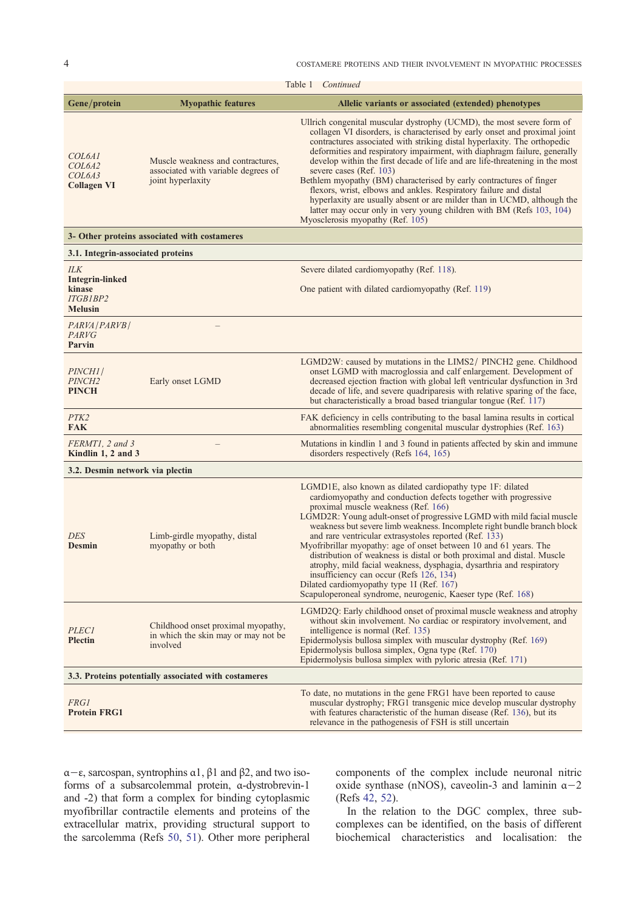| Table 1 <i>Continued</i>                                                               |                                                                                               |                                                                                                                                                                                                                                                                                                                                                                                                                                                                                                                                                                                                                                                                                                                                                                   |  |
|----------------------------------------------------------------------------------------|-----------------------------------------------------------------------------------------------|-------------------------------------------------------------------------------------------------------------------------------------------------------------------------------------------------------------------------------------------------------------------------------------------------------------------------------------------------------------------------------------------------------------------------------------------------------------------------------------------------------------------------------------------------------------------------------------------------------------------------------------------------------------------------------------------------------------------------------------------------------------------|--|
| Gene/protein                                                                           | <b>Myopathic features</b>                                                                     | Allelic variants or associated (extended) phenotypes                                                                                                                                                                                                                                                                                                                                                                                                                                                                                                                                                                                                                                                                                                              |  |
| COL6A1<br>COL <sub>6</sub> A <sub>2</sub><br>COL <sub>6</sub> A3<br><b>Collagen VI</b> | Muscle weakness and contractures,<br>associated with variable degrees of<br>joint hyperlaxity | Ullrich congenital muscular dystrophy (UCMD), the most severe form of<br>collagen VI disorders, is characterised by early onset and proximal joint<br>contractures associated with striking distal hyperlaxity. The orthopedic<br>deformities and respiratory impairment, with diaphragm failure, generally<br>develop within the first decade of life and are life-threatening in the most<br>severe cases (Ref. 103)<br>Bethlem myopathy (BM) characterised by early contractures of finger<br>flexors, wrist, elbows and ankles. Respiratory failure and distal<br>hyperlaxity are usually absent or are milder than in UCMD, although the<br>latter may occur only in very young children with BM (Refs 103, 104)<br>Myosclerosis myopathy (Ref. 105)         |  |
| 3- Other proteins associated with costameres                                           |                                                                                               |                                                                                                                                                                                                                                                                                                                                                                                                                                                                                                                                                                                                                                                                                                                                                                   |  |
| 3.1. Integrin-associated proteins                                                      |                                                                                               |                                                                                                                                                                                                                                                                                                                                                                                                                                                                                                                                                                                                                                                                                                                                                                   |  |
| <b>ILK</b><br><b>Integrin-linked</b>                                                   |                                                                                               | Severe dilated cardiomyopathy (Ref. 118).                                                                                                                                                                                                                                                                                                                                                                                                                                                                                                                                                                                                                                                                                                                         |  |
| kinase<br><b>ITGB1BP2</b><br><b>Melusin</b>                                            |                                                                                               | One patient with dilated cardiomyopathy (Ref. 119)                                                                                                                                                                                                                                                                                                                                                                                                                                                                                                                                                                                                                                                                                                                |  |
| PARVA   PARVB  <br><b>PARVG</b><br>Parvin                                              |                                                                                               |                                                                                                                                                                                                                                                                                                                                                                                                                                                                                                                                                                                                                                                                                                                                                                   |  |
| PINCH1/<br><i>PINCH2</i><br><b>PINCH</b>                                               | Early onset LGMD                                                                              | LGMD2W: caused by mutations in the LIMS2/ PINCH2 gene. Childhood<br>onset LGMD with macroglossia and calf enlargement. Development of<br>decreased ejection fraction with global left ventricular dysfunction in 3rd<br>decade of life, and severe quadriparesis with relative sparing of the face,<br>but characteristically a broad based triangular tongue (Ref. 117)                                                                                                                                                                                                                                                                                                                                                                                          |  |
| PTK <sub>2</sub><br><b>FAK</b>                                                         |                                                                                               | FAK deficiency in cells contributing to the basal lamina results in cortical<br>abnormalities resembling congenital muscular dystrophies (Ref. 163)                                                                                                                                                                                                                                                                                                                                                                                                                                                                                                                                                                                                               |  |
| FERMT1, 2 and 3<br>Kindlin 1, 2 and 3                                                  |                                                                                               | Mutations in kindlin 1 and 3 found in patients affected by skin and immune<br>disorders respectively (Refs 164, 165)                                                                                                                                                                                                                                                                                                                                                                                                                                                                                                                                                                                                                                              |  |
| 3.2. Desmin network via plectin                                                        |                                                                                               |                                                                                                                                                                                                                                                                                                                                                                                                                                                                                                                                                                                                                                                                                                                                                                   |  |
| <b>DES</b><br><b>Desmin</b>                                                            | Limb-girdle myopathy, distal<br>myopathy or both                                              | LGMD1E, also known as dilated cardiopathy type 1F: dilated<br>cardiomyopathy and conduction defects together with progressive<br>proximal muscle weakness (Ref. 166)<br>LGMD2R: Young adult-onset of progressive LGMD with mild facial muscle<br>weakness but severe limb weakness. Incomplete right bundle branch block<br>and rare ventricular extrasystoles reported (Ref. 133)<br>Myofribrillar myopathy: age of onset between 10 and 61 years. The<br>distribution of weakness is distal or both proximal and distal. Muscle<br>atrophy, mild facial weakness, dysphagia, dysarthria and respiratory<br>insufficiency can occur (Refs 126, 134)<br>Dilated cardiomyopathy type 1I (Ref. 167)<br>Scapuloperoneal syndrome, neurogenic, Kaeser type (Ref. 168) |  |
| <b>PLEC1</b><br><b>Plectin</b>                                                         | Childhood onset proximal myopathy,<br>in which the skin may or may not be<br>involved         | LGMD2Q: Early childhood onset of proximal muscle weakness and atrophy<br>without skin involvement. No cardiac or respiratory involvement, and<br>intelligence is normal (Ref. 135)<br>Epidermolysis bullosa simplex with muscular dystrophy (Ref. 169)<br>Epidermolysis bullosa simplex, Ogna type (Ref. 170)<br>Epidermolysis bullosa simplex with pyloric atresia (Ref. 171)                                                                                                                                                                                                                                                                                                                                                                                    |  |
| 3.3. Proteins potentially associated with costameres                                   |                                                                                               |                                                                                                                                                                                                                                                                                                                                                                                                                                                                                                                                                                                                                                                                                                                                                                   |  |
| <i>FRG1</i><br><b>Protein FRG1</b>                                                     |                                                                                               | To date, no mutations in the gene FRG1 have been reported to cause<br>muscular dystrophy; FRG1 transgenic mice develop muscular dystrophy<br>with features characteristic of the human disease (Ref. 136), but its<br>relevance in the pathogenesis of FSH is still uncertain                                                                                                                                                                                                                                                                                                                                                                                                                                                                                     |  |

α−ε, sarcospan, syntrophins α1, β1 and β2, and two isoforms of a subsarcolemmal protein, α-dystrobrevin-1 and -2) that form a complex for binding cytoplasmic myofibrillar contractile elements and proteins of the extracellular matrix, providing structural support to the sarcolemma (Refs 50, 51). Other more peripheral components of the complex include [neu](#page-9-0)ronal nitric oxide synthase (nNOS), caveolin-3 and laminin  $\alpha-2$ (Refs 42, 52).

In the relation to the DGC complex, three subcomplexes can be identified, on the basis of different biochemical characteristics and localisation: the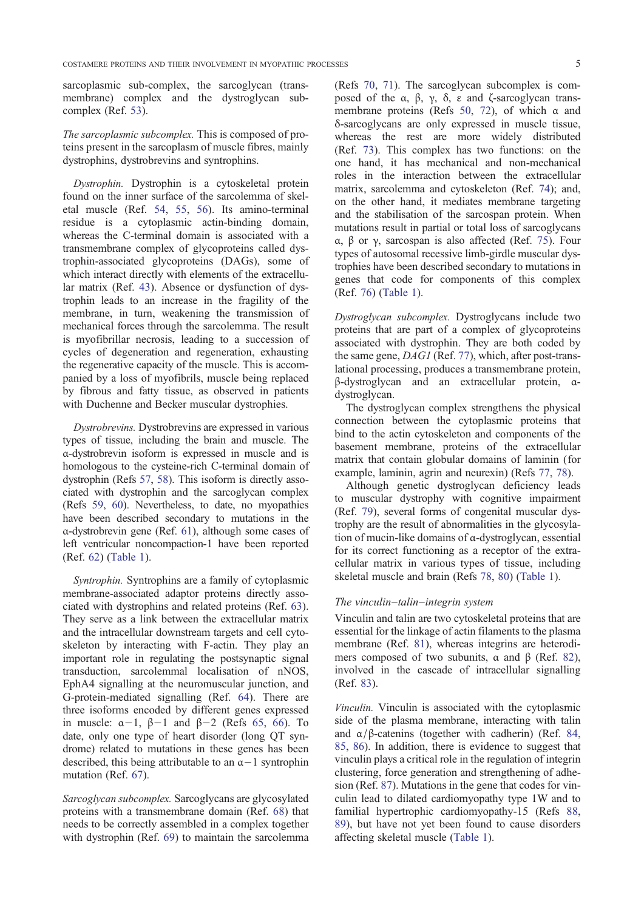sarcoplasmic sub-complex, the sarcoglycan (transmembrane) complex and the dystroglycan subcomplex (Ref. 53).

The sarcoplasmic subcomplex. This is composed of proteins present in the sarcoplasm of muscle fibres, mainly dystrophins, d[ystr](#page-8-0)obrevins and syntrophins.

Dystrophin. Dystrophin is a cytoskeletal protein found on the inner surface of the sarcolemma of skeletal muscle (Ref. 54, 55, 56). Its amino-terminal residue is a cytoplasmic actin-binding domain, whereas the C-terminal domain is associated with a transmembrane complex of glycoproteins called dystrophin-associated [gly](#page-8-0)c[opro](#page-8-0)t[ein](#page-8-0)s (DAGs), some of which interact directly with elements of the extracellular matrix (Ref. 43). Absence or dysfunction of dystrophin leads to an increase in the fragility of the membrane, in turn, weakening the transmission of mechanical forces through the sarcolemma. The result is myofibrillar [nec](#page-7-0)rosis, leading to a succession of cycles of degeneration and regeneration, exhausting the regenerative capacity of the muscle. This is accompanied by a loss of myofibrils, muscle being replaced by fibrous and fatty tissue, as observed in patients with Duchenne and Becker muscular dystrophies.

Dystrobrevins. Dystrobrevins are expressed in various types of tissue, including the brain and muscle. The α-dystrobrevin isoform is expressed in muscle and is homologous to the cysteine-rich C-terminal domain of dystrophin (Refs 57, 58). This isoform is directly associated with dystrophin and the sarcoglycan complex (Refs 59, 60). Nevertheless, to date, no myopathies have been described secondary to mutations in the α-dystrobrevin g[ene](#page-8-0) [\(Re](#page-8-0)f. 61), although some cases of left ventricular noncompaction-1 have been reported (Ref. [62\)](#page-8-0) ([Tab](#page-8-0)le 1).

Syntrophin. Syntrophins [ar](#page-8-0)e a family of cytoplasmic membrane-associated adaptor proteins directly associate[d w](#page-8-0)it[h dystrop](#page-2-0)hins and related proteins (Ref. 63). They serve as a link between the extracellular matrix and the intracellular downstream targets and cell cytoskeleton by interacting with F-actin. They play an important role in regulating the postsynaptic si[gna](#page-8-0)l transduction, sarcolemmal localisation of nNOS, EphA4 signalling at the neuromuscular junction, and G-protein-mediated signalling (Ref. 64). There are three isoforms encoded by different genes expressed in muscle: α−1, β−1 and β−2 (Refs 65, 66). To date, only one type of heart disorder (long QT syndrome) related to mutations in these [gen](#page-8-0)es has been described, this being attributable to an α−1 syntrophin mutation (Ref. 67).

Sarcoglycan subcomplex. Sarcoglycans are glycosylated proteins with a transmembrane domain (Ref. 68) that needs to be cor[rec](#page-8-0)tly assembled in a complex together with dystrophin (Ref. 69) to maintain the sarcolemma (Refs 70, 71). The sarcoglycan subcomplex is composed of the α, β, γ, δ, ε and ζ-sarcoglycan transmembrane proteins (Refs 50, 72), of which  $\alpha$  and δ-sarcoglycans are only expressed in muscle tissue, where[as the](#page-8-0) rest are more widely distributed (Ref. 73). This complex has two functions: on the one hand, it has mecha[nica](#page-8-0)l [an](#page-8-0)d non-mechanical roles in the interaction between the extracellular matrix, sarcolemma and cytoskeleton (Ref. 74); and, on th[e o](#page-8-0)ther hand, it mediates membrane targeting and the stabilisation of the sarcospan protein. When mutations result in partial or total loss of sarcoglycans α, β or γ, sarcospan is also affected (Ref. [75\)](#page-8-0). Four types of autosomal recessive limb-girdle muscular dystrophies have been described secondary to mutations in genes that code for components of this complex (Ref. 76) (Table 1).

Dystroglycan subcomplex. Dystroglycans include two proteins that are part of a complex of glycoproteins assoc[iate](#page-8-0)d [with dy](#page-2-0)strophin. They are both coded by the same gene, DAG1 (Ref. 77), which, after post-translational processing, produces a transmembrane protein, β-dystroglycan and an extracellular protein, αdystroglycan.

The dystroglycan compl[ex](#page-8-0) strengthens the physical connection between the cytoplasmic proteins that bind to the actin cytoskeleton and components of the basement membrane, proteins of the extracellular matrix that contain globular domains of laminin (for example, laminin, agrin and neurexin) (Refs 77, 78).

Although genetic dystroglycan deficiency leads to muscular dystrophy with cognitive impairment (Ref. 79), several forms of congenital muscular dystrophy are the result of abnormalities in the [glycosy](#page-8-0)lation of mucin-like domains of α-dystroglycan, essential for its correct functioning as a receptor of the extracellul[ar](#page-8-0) matrix in various types of tissue, including skeletal muscle and brain (Refs 78, 80) (Table 1).

### The vinculin–talin–integrin system

Vinculin and talin are two cytoskeletal proteins that are essential for the linkage of actin [filamen](#page-8-0)ts [to the pl](#page-2-0)asma membrane (Ref. 81), whereas integrins are heterodimers composed of two subunits,  $\alpha$  and  $\beta$  (Ref. 82), involved in the cascade of intracellular signalling (Ref. 83).

Vinculin. Vinculi[n](#page-8-0) [is](#page-8-0) associated with the cytopla[smi](#page-8-0)c side of the plasma membrane, interacting with talin and  $\alpha/\beta$  $\alpha/\beta$  $\alpha/\beta$ -catenins (together with cadherin) (Ref. 84, 85, 86). In addition, there is evidence to suggest that vinculin plays a critical role in the regulation of integrin clustering, force generation and strengthening of adhesion (Ref. 87). Mutations in the gene that codes for [vin](#page-8-0)[cul](#page-8-0)i[n le](#page-8-0)ad to dilated cardiomyopathy type 1W and to familial hypertrophic cardiomyopathy-15 (Refs 88, 89), but have not yet been found to cause disorders affecting [skel](#page-8-0)etal muscle (Table 1).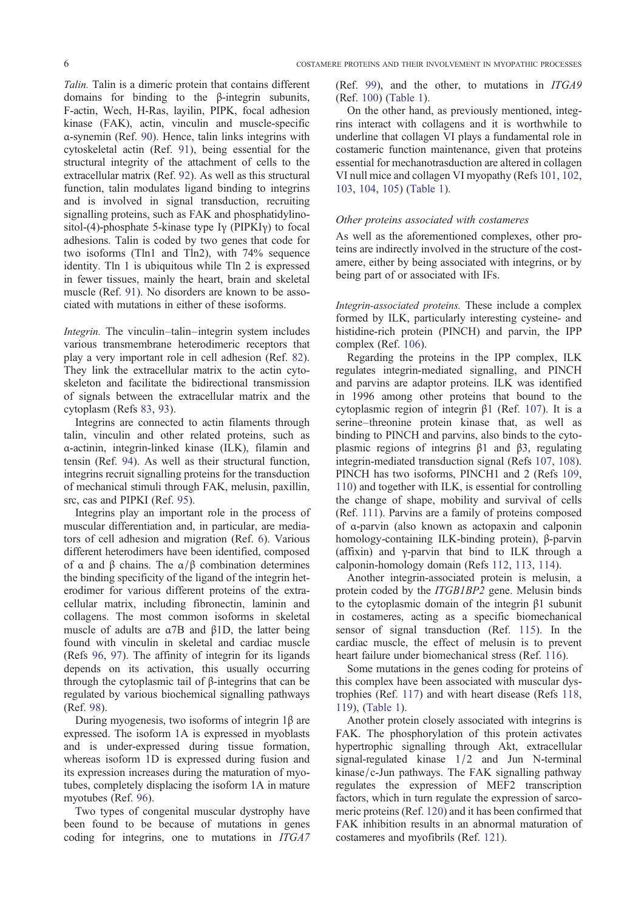Talin. Talin is a dimeric protein that contains different domains for binding to the β-integrin subunits, F-actin, Wech, H-Ras, layilin, PIPK, focal adhesion kinase (FAK), actin, vinculin and muscle-specific α-synemin (Ref. 90). Hence, talin links integrins with cytoskeletal actin (Ref. 91), being essential for the structural integrity of the attachment of cells to the extracellular matrix (Ref. 92). As well as this structural function, talin [mod](#page-8-0)ulates ligand binding to integrins and is involved in si[gnal](#page-8-0) transduction, recruiting signalling proteins, such as FAK and phosphatidylinositol-(4)-phosphate 5-kin[ase](#page-8-0) type  $I_Y$  (PIPKI<sub>Y</sub>) to focal adhesions. Talin is coded by two genes that code for two isoforms (Tln1 and Tln2), with 74% sequence identity. Tln 1 is ubiquitous while Tln 2 is expressed in fewer tissues, mainly the heart, brain and skeletal muscle (Ref. 91). No disorders are known to be associated with mutations in either of these isoforms.

Integrin. The vinculin–talin–integrin system includes various trans[me](#page-8-0)mbrane heterodimeric receptors that play a very important role in cell adhesion (Ref. 82). They link the extracellular matrix to the actin cytoskeleton and facilitate the bidirectional transmission of signals between the extracellular matrix and the cytoplasm (Refs 83, 93).

Integrins are connected to actin filaments thr[oug](#page-8-0)h talin, vinculin and other related proteins, such as α-actinin, integrin-linked kinase (ILK), filamin and tensin (Ref. 94). [A](#page-8-0)s [we](#page-8-0)ll as their structural function, integrins recruit signalling proteins for the transduction of mechanical stimuli through FAK, melusin, paxillin, src, cas and PIPKI (Ref. 95).

Integrins [pla](#page-8-0)y an important role in the process of muscular differentiation and, in particular, are mediators of cell adhesion and migration (Ref. 6). Various different heterodimers ha[ve](#page-8-0) been identified, composed of α and β chains. The  $\alpha/\beta$  combination determines the binding specificity of the ligand of the integrin heterodimer for various different proteins o[f](#page-7-0) the extracellular matrix, including fibronectin, laminin and collagens. The most common isoforms in skeletal muscle of adults are  $\alpha$ 7B and  $\beta$ 1D, the latter being found with vinculin in skeletal and cardiac muscle (Refs 96, 97). The affinity of integrin for its ligands depends on its activation, this usually occurring through the cytoplasmic tail of β-integrins that can be regulated by various biochemical signalling pathways (Ref. [98\)](#page-8-0).

During [my](#page-9-0)ogenesis, two isoforms of integrin 1β are expressed. The isoform 1A is expressed in myoblasts and is under-expressed during tissue formation, wher[eas](#page-9-0) isoform 1D is expressed during fusion and its expression increases during the maturation of myotubes, completely displacing the isoform 1A in mature myotubes (Ref. 96).

Two types of congenital muscular dystrophy have been found to be because of mutations in genes coding for integrins, one to mutations in ITGA7 (Ref. 99), and the other, to mutations in ITGA9 (Ref. 100) (Table 1).

On the other hand, as previously mentioned, integrins interact with collagens and it is worthwhile to underl[ine](#page-9-0) that collagen VI plays a fundamental role in costa[meri](#page-9-0)c [function](#page-2-0) maintenance, given that proteins essential for mechanotrasduction are altered in collagen VI null mice and collagen VI myopathy (Refs 101, 102, 103, 104, 105) (Table 1).

### Other proteins associated with costameres

As well as the aforementioned complexes, [other](#page-9-0) [pro](#page-9-0)[tein](#page-9-0)s [are](#page-9-0) [indire](#page-9-0)ct[ly](#page-2-0) [involv](#page-2-0)ed in the structure of the costamere, either by being associated with integrins, or by being part of or associated with IFs.

Integrin-associated proteins. These include a complex formed by ILK, particularly interesting cysteine- and histidine-rich protein (PINCH) and parvin, the IPP complex (Ref. 106).

Regarding the proteins in the IPP complex, ILK regulates integrin-mediated signalling, and PINCH and parvins are adaptor proteins. ILK was identified in 1996 amo[ng o](#page-9-0)ther proteins that bound to the cytoplasmic region of integrin β1 (Ref. 107). It is a serine–threonine protein kinase that, as well as binding to PINCH and parvins, also binds to the cytoplasmic regions of integrins  $β1$  and  $β3$ , regulating integrin-mediated transduction signal (Re[fs](#page-9-0) 107, 108). PINCH has two isoforms, PINCH1 and 2 (Refs 109, 110) and together with ILK, is essential for controlling the change of shape, mobility and survival of cells (Ref. 111). Parvins are a family of proteins [compose](#page-9-0)d of α-parvin (also known as actopaxin and calp[onin](#page-9-0) [hom](#page-9-0)ology-containing ILK-binding protein), β-parvin (affixin) and γ-parvin that bind to ILK through a calpo[nin-h](#page-9-0)omology domain (Refs 112, 113, 114).

Another integrin-associated protein is melusin, a protein coded by the ITGB1BP2 gene. Melusin binds to the cytoplasmic domain of the integrin β1 subunit in costameres, acting as a spe[cific biomecha](#page-9-0)nical sensor of signal transduction (Ref. 115). In the cardiac muscle, the effect of melusin is to prevent heart failure under biomechanical stress (Ref. 116).

Some mutations in the genes coding for proteins of this complex have been associated with [mus](#page-9-0)cular dystrophies (Ref. 117) and with heart disease (Refs 118, 119), (Table 1).

Another protein closely associated with int[egrin](#page-9-0)s is FAK. The phosphorylation of this protein activates hypertrophic [sign](#page-9-0)alling through Akt, extracel[lular](#page-9-0) [sign](#page-9-0)al-[regulate](#page-2-0)d kinase 1/2 and Jun N-terminal kinase/c-Jun pathways. The FAK signalling pathway regulates the expression of MEF2 transcription factors, which in turn regulate the expression of sarcomeric proteins (Ref. 120) and it has been confirmed that FAK inhibition results in an abnormal maturation of costameres and myofibrils (Ref. 121).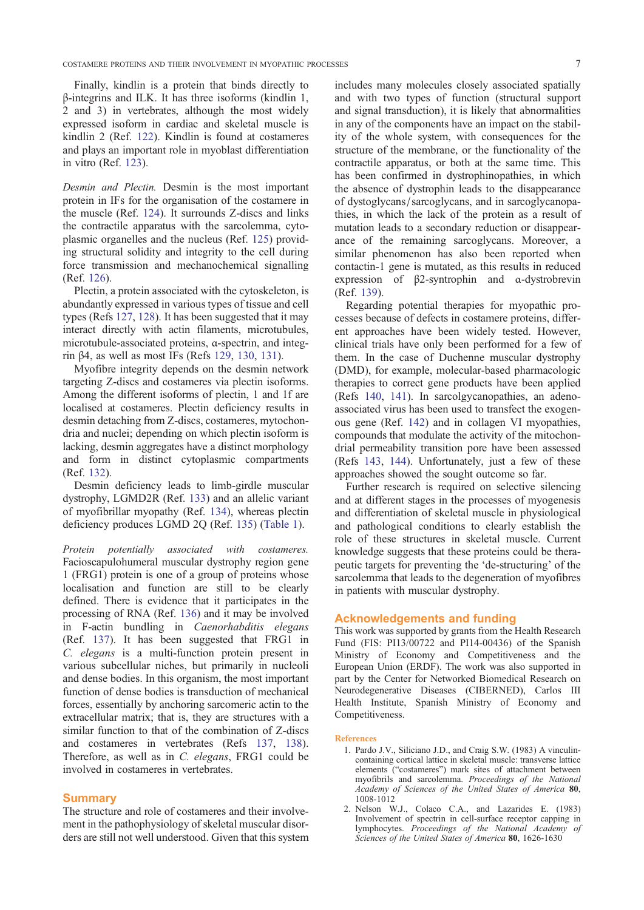<span id="page-6-0"></span>Finally, kindlin is a protein that binds directly to β-integrins and ILK. It has three isoforms (kindlin 1, 2 and 3) in vertebrates, although the most widely expressed isoform in cardiac and skeletal muscle is kindlin 2 (Ref. 122). Kindlin is found at costameres and plays an important role in myoblast differentiation in vitro (Ref. 123).

Desmin and Pl[ectin](#page-9-0). Desmin is the most important protein in IFs for the organisation of the costamere in the muscle ([Ref.](#page-9-0) 124). It surrounds Z-discs and links the contractile apparatus with the sarcolemma, cytoplasmic organelles and the nucleus (Ref. 125) providing structural solidity and integrity to the cell during force transmissio[n an](#page-9-0)d mechanochemical signalling (Ref. 126).

Plectin, a protein associated with the cy[toske](#page-9-0)leton, is abundantly expressed in various types of tissue and cell types (Refs 127, 128). It has been suggested that it may intera[ct d](#page-9-0)irectly with actin filaments, microtubules, microtubule-associated proteins, α-spectrin, and integrin β4, as well as most IFs (Refs 129, 130, 131).

Myofibr[e integrity](#page-9-0) depends on the desmin network targeting Z-discs and costameres via plectin isoforms. Among the different isoforms of plectin, 1 and 1f are localised at costameres. Plectin [defi](#page-9-0)c[iency res](#page-9-0)ults in desmin detaching from Z-discs, costameres, mytochondria and nuclei; depending on which plectin isoform is lacking, desmin aggregates have a distinct morphology and form in distinct cytoplasmic compartments (Ref. 132).

Desmin deficiency leads to limb-girdle muscular dystrophy, LGMD2R (Ref. 133) and an allelic variant of myofibrillar myopathy (Ref. 134), whereas plectin defici[ency](#page-9-0) produces LGMD 2Q (Ref. 135) (Table 1).

Protein potentially asso[ciate](#page-9-0)d with costameres. Facioscapulohumeral muscular [dystr](#page-9-0)ophy region gene 1 (FRG1) protein is one of a group o[f pro](#page-9-0)te[ins who](#page-2-0)se localisation and function are still to be clearly defined. There is evidence that it participates in the processing of RNA (Ref. 136) and it may be involved in F-actin bundling in Caenorhabditis elegans (Ref. 137). It has been suggested that FRG1 in C. elegans is a multi-function protein present in various subcellular nich[es, b](#page-9-0)ut primarily in nucleoli and dense bodies. In this organism, the most important functi[on of](#page-9-0) dense bodies is transduction of mechanical forces, essentially by anchoring sarcomeric actin to the extracellular matrix; that is, they are structures with a similar function to that of the combination of Z-discs and costameres in vertebrates (Refs 137, 138). Therefore, as well as in C. elegans, FRG1 could be involved in costameres in vertebrates.

### Summary

The structure and role of costameres and their involvement in the pathophysiology of skeletal muscular disorders are still not well understood. Given that this system includes many molecules closely associated spatially and with two types of function (structural support and signal transduction), it is likely that abnormalities in any of the components have an impact on the stability of the whole system, with consequences for the structure of the membrane, or the functionality of the contractile apparatus, or both at the same time. This has been confirmed in dystrophinopathies, in which the absence of dystrophin leads to the disappearance of dystoglycans/sarcoglycans, and in sarcoglycanopathies, in which the lack of the protein as a result of mutation leads to a secondary reduction or disappearance of the remaining sarcoglycans. Moreover, a similar phenomenon has also been reported when contactin-1 gene is mutated, as this results in reduced expression of β2-syntrophin and α-dystrobrevin (Ref. 139).

Regarding potential therapies for myopathic processes because of defects in costamere proteins, different approaches have been widely tested. However, clinic[al tr](#page-9-0)ials have only been performed for a few of them. In the case of Duchenne muscular dystrophy (DMD), for example, molecular-based pharmacologic therapies to correct gene products have been applied (Refs 140, 141). In sarcolgycanopathies, an adenoassociated virus has been used to transfect the exogenous gene (Ref. 142) and in collagen VI myopathies, compounds that modulate the activity of the mitochondrial [perm](#page-9-0)e[abili](#page-9-0)ty transition pore have been assessed (Refs 143, 144). Unfortunately, just a few of these approaches sho[wed](#page-10-0) the sought outcome so far.

Further research is required on selective silencing and at different stages in the processes of myogenesis and di[fferentiati](#page-10-0)on of skeletal muscle in physiological and pathological conditions to clearly establish the role of these structures in skeletal muscle. Current knowledge suggests that these proteins could be therapeutic targets for preventing the 'de-structuring' of the sarcolemma that leads to the degeneration of myofibres in patients with muscular dystrophy.

### Acknowledgements and funding

This work was supported by grants from the Health Research Fund (FIS: PI13/00722 and PI14-00436) of the Spanish Ministry of Economy and Competitiveness and the European Union (ERDF). The work was also supported in part by the Center for Networked Biomedical Research on Neurodegenerative Diseases (CIBERNED), Carlos III Health Institute, Spanish Ministry of Economy and Competitiveness.

#### **References**

- 1. Pardo J.V., Siliciano J.D., and Craig S.W. (1983) A vinculincontaining cortical lattice in skeletal muscle: transverse lattice elements ("costameres") mark sites of attachment between myofibrils and sarcolemma. Proceedings of the National Academy of Sciences of the United States of America 80, 1008-1012
- 2. Nelson W.J., Colaco C.A., and Lazarides E. (1983) Involvement of spectrin in cell-surface receptor capping in lymphocytes. Proceedings of the National Academy of Sciences of the United States of America 80, 1626-1630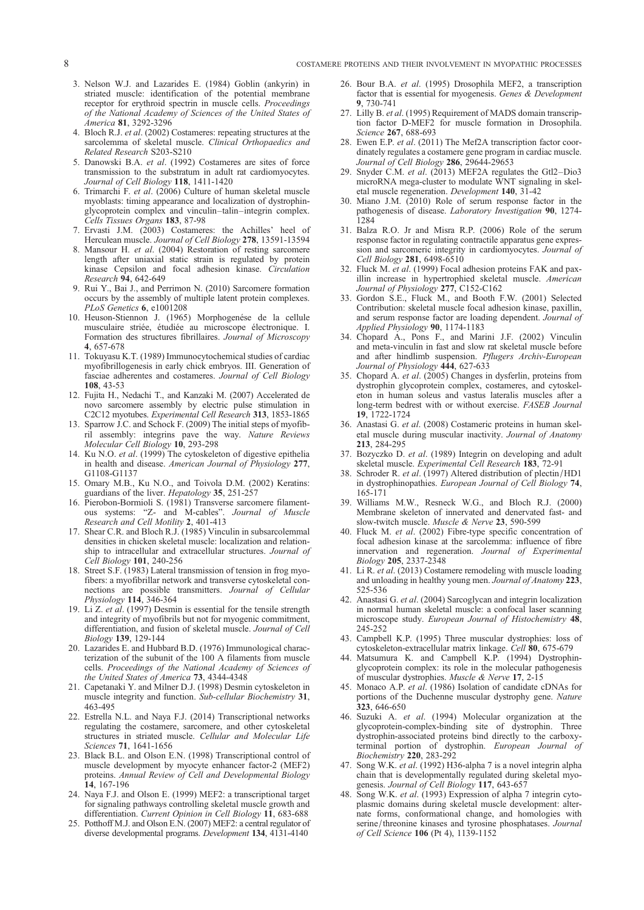- <span id="page-7-0"></span>3. Nelson W.J. and Lazarides E. (1984) Goblin (ankyrin) in striated muscle: identification of the potential membrane receptor for erythroid spectrin in muscle cells. Proceedings of the National Academy of Sciences of the United States of America 81, 3292-3296
- 4. Bloch R.J. et al. (2002) Costameres: repeating structures at the sarcolemma of skeletal muscle. Clinical Orthopaedics and Related Research S203-S210
- 5. Danowski B.A. et al. (1992) Costameres are sites of force transmission to the substratum in adult rat cardiomyocytes. Journal of Cell Biology 118, 1411-1420
- 6. Trimarchi F. et al. (2006) Culture of human skeletal muscle myoblasts: timing appearance and localization of dystrophinglycoprotein complex and vinculin–talin–integrin complex. Cells Tissues Organs 183, 87-98
- 7. Ervasti J.M. (2003) Costameres: the Achilles' heel of Herculean muscle. Journal of Cell Biology 278, 13591-13594
- 8. Mansour H. et al. (2004) Restoration of resting sarcomere length after uniaxial static strain is regulated by protein kinase Cepsilon and focal adhesion kinase. Circulation Research 94, 642-649
- 9. Rui Y., Bai J., and Perrimon N. (2010) Sarcomere formation occurs by the assembly of multiple latent protein complexes. PLoS Genetics 6, e1001208
- 10. Heuson-Stiennon J. (1965) Morphogenése de la cellule musculaire striée, étudiée au microscope électronique. I. Formation des structures fibrillaires. Journal of Microscopy 4, 657-678
- 11. Tokuyasu K.T. (1989) Immunocytochemical studies of cardiac myofibrillogenesis in early chick embryos. III. Generation of fasciae adherentes and costameres. Journal of Cell Biology 108, 43-53
- 12. Fujita H., Nedachi T., and Kanzaki M. (2007) Accelerated de novo sarcomere assembly by electric pulse stimulation in C2C12 myotubes. Experimental Cell Research 313, 1853-1865
- 13. Sparrow J.C. and Schock F. (2009) The initial steps of myofibril assembly: integrins pave the way. Nature Reviews Molecular Cell Biology 10, 293-298
- 14. Ku N.O. et al. (1999) The cytoskeleton of digestive epithelia in health and disease. American Journal of Physiology 277, G1108-G1137
- 15. Omary M.B., Ku N.O., and Toivola D.M. (2002) Keratins: guardians of the liver. Hepatology 35, 251-257
- 16. Pierobon-Bormioli S. (1981) Transverse sarcomere filamentous systems: "Z- and M-cables". Journal of Muscle Research and Cell Motility 2, 401-413
- 17. Shear C.R. and Bloch R.J. (1985) Vinculin in subsarcolemmal densities in chicken skeletal muscle: localization and relationship to intracellular and extracellular structures. Journal of Cell Biology 101, 240-256
- 18. Street S.F. (1983) Lateral transmission of tension in frog myofibers: a myofibrillar network and transverse cytoskeletal connections are possible transmitters. Journal of Cellular Physiology 114, 346-364
- 19. Li Z. et  $\tilde{a}l$ . (1997) Desmin is essential for the tensile strength and integrity of myofibrils but not for myogenic commitment, differentiation, and fusion of skeletal muscle. Journal of Cell Biology 139, 129-144
- 20. Lazarides E. and Hubbard B.D. (1976) Immunological characterization of the subunit of the 100 A filaments from muscle cells. Proceedings of the National Academy of Sciences of the United States of America 73, 4344-4348
- 21. Capetanaki Y. and Milner D.J. (1998) Desmin cytoskeleton in muscle integrity and function. Sub-cellular Biochemistry 31, 463-495
- 22. Estrella N.L. and Naya F.J. (2014) Transcriptional networks regulating the costamere, sarcomere, and other cytoskeletal structures in striated muscle. Cellular and Molecular Life Sciences 71, 1641-1656
- 23. Black B.L. and Olson E.N. (1998) Transcriptional control of muscle development by myocyte enhancer factor-2 (MEF2) proteins. Annual Review of Cell and Developmental Biology 14, 167-196
- 24. Naya F.J. and Olson E. (1999) MEF2: a transcriptional target for signaling pathways controlling skeletal muscle growth and differentiation. Current Opinion in Cell Biology 11, 683-688
- 25. Potthoff M.J. and Olson E.N. (2007) MEF2: a central regulator of diverse developmental programs. Development 134, 4131-4140
- 26. Bour B.A. et al. (1995) Drosophila MEF2, a transcription factor that is essential for myogenesis. Genes & Development 9, 730-741
- 27. Lilly B. et al. (1995) Requirement of MADS domain transcription factor D-MEF2 for muscle formation in Drosophila. Science 267, 688-693
- 28. Ewen E.P. et al. (2011) The Mef2A transcription factor coordinately regulates a costamere gene program in cardiac muscle. Journal of Cell Biology 286, 29644-29653
- 29. Snyder C.M. et al.  $(2013)$  MEF2A regulates the Gtl2-Dio3 microRNA mega-cluster to modulate WNT signaling in skeletal muscle regeneration. Development 140, 31-42
- 30. Miano J.M. (2010) Role of serum response factor in the pathogenesis of disease. Laboratory Investigation 90, 1274- 1284
- 31. Balza R.O. Jr and Misra R.P. (2006) Role of the serum response factor in regulating contractile apparatus gene expression and sarcomeric integrity in cardiomyocytes. Journal of Cell Biology 281, 6498-6510
- 32. Fluck M. et al. (1999) Focal adhesion proteins FAK and paxillin increase in hypertrophied skeletal muscle. American Journal of Physiology 277, C152-C162
- 33. Gordon S.E., Fluck M., and Booth F.W. (2001) Selected Contribution: skeletal muscle focal adhesion kinase, paxillin, and serum response factor are loading dependent. Journal of Applied Physiology 90, 1174-1183
- 34. Chopard A., Pons F., and Marini J.F. (2002) Vinculin and meta-vinculin in fast and slow rat skeletal muscle before and after hindlimb suspension. Pflugers Archiv-European Journal of Physiology 444, 627-633
- 35. Chopard A. et al. (2005) Changes in dysferlin, proteins from dystrophin glycoprotein complex, costameres, and cytoskeleton in human soleus and vastus lateralis muscles after a long-term bedrest with or without exercise. FASEB Journal 19, 1722-1724
- 36. Anastasi G. et al. (2008) Costameric proteins in human skeletal muscle during muscular inactivity. Journal of Anatomy 213, 284-295
- 37. Bozyczko D. et al. (1989) Integrin on developing and adult skeletal muscle. Experimental Cell Research 183, 72-91
- 38. Schroder R. et al. (1997) Altered distribution of plectin/HD1 in dystrophinopathies. European Journal of Cell Biology 74, 165-171
- 39. Williams M.W., Resneck W.G., and Bloch R.J. (2000) Membrane skeleton of innervated and denervated fast- and slow-twitch muscle. Muscle & Nerve 23, 590-599
- 40. Fluck M. et al. (2002) Fibre-type specific concentration of focal adhesion kinase at the sarcolemma: influence of fibre innervation and regeneration. Journal of Experimental Biology 205, 2337-2348
- 41. Li R. et al. (2013) Costamere remodeling with muscle loading and unloading in healthy young men. Journal of Anatomy 223, 525-536
- 42. Anastasi G. et al. (2004) Sarcoglycan and integrin localization in normal human skeletal muscle: a confocal laser scanning microscope study. European Journal of Histochemistry 48, 245-252
- 43. Campbell K.P. (1995) Three muscular dystrophies: loss of cytoskeleton-extracellular matrix linkage. Cell 80, 675-679
- 44. Matsumura K. and Campbell K.P. (1994) Dystrophinglycoprotein complex: its role in the molecular pathogenesis of muscular dystrophies. Muscle & Nerve 17, 2-15
- 45. Monaco A.P. et al. (1986) Isolation of candidate cDNAs for portions of the Duchenne muscular dystrophy gene. Nature 323, 646-650
- 46. Suzuki A. et al. (1994) Molecular organization at the glycoprotein-complex-binding site of dystrophin. Three dystrophin-associated proteins bind directly to the carboxyterminal portion of dystrophin. European Journal of Biochemistry 220, 283-292
- 47. Song W.K. et al. (1992) H36-alpha 7 is a novel integrin alpha chain that is developmentally regulated during skeletal myogenesis. Journal of Cell Biology 117, 643-657
- 48. Song W.K. et al. (1993) Expression of alpha 7 integrin cytoplasmic domains during skeletal muscle development: alternate forms, conformational change, and homologies with serine/threonine kinases and tyrosine phosphatases. Journal of Cell Science 106 (Pt 4), 1139-1152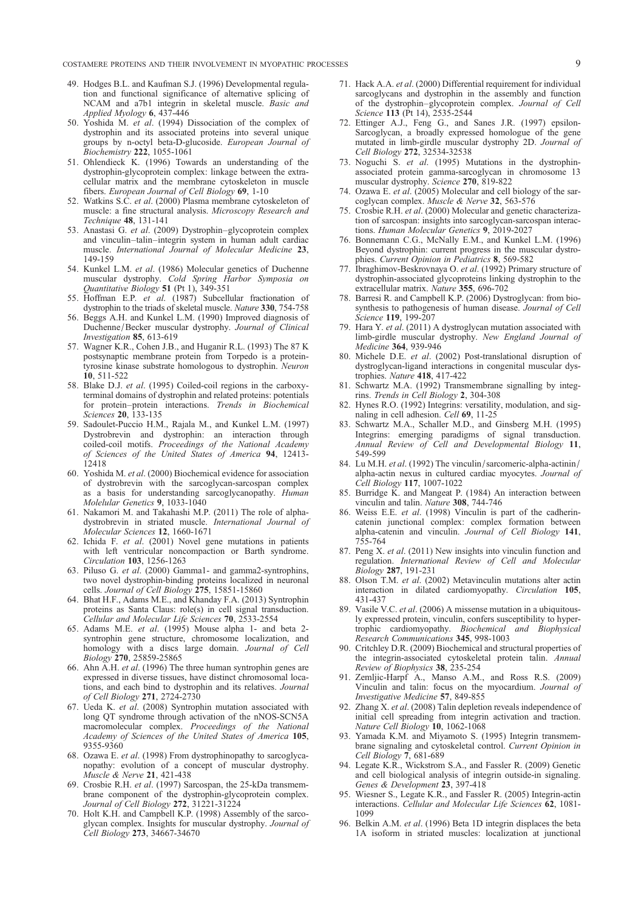- <span id="page-8-0"></span>49. Hodges B.L. and Kaufman S.J. (1996) Developmental regulation and functional significance of alternative splicing of NCAM and a7b1 integrin in skeletal muscle. Basic and Applied Myology 6, 437-446
- 50. Yoshida M. et al. (1994) Dissociation of the complex of dystrophin and its associated proteins into several unique groups by n-octyl beta-D-glucoside. European Journal of Biochemistry 222, 1055-1061
- 51. Ohlendieck K. (1996) Towards an understanding of the dystrophin-glycoprotein complex: linkage between the extracellular matrix and the membrane cytoskeleton in muscle fibers. European Journal of Cell Biology 69, 1-10
- 52. Watkins S.C. et al. (2000) Plasma membrane cytoskeleton of muscle: a fine structural analysis. Microscopy Research and Technique 48, 131-141
- 53. Anastasi G. et al. (2009) Dystrophin-glycoprotein complex and vinculin–talin–integrin system in human adult cardiac muscle. International Journal of Molecular Medicine 23, 149-159
- 54. Kunkel L.M. et al. (1986) Molecular genetics of Duchenne muscular dystrophy. Cold Spring Harbor Symposia on Quantitative Biology 51 (Pt 1),  $349-351$
- 55. Hoffman E.P. et al. (1987) Subcellular fractionation of dystrophin to the triads of skeletal muscle. Nature 330, 754-758
- 56. Beggs A.H. and Kunkel L.M. (1990) Improved diagnosis of Duchenne/Becker muscular dystrophy. Journal of Clinical Investigation 85, 613-619
- 57. Wagner K.R., Cohen J.B., and Huganir R.L. (1993) The 87 K postsynaptic membrane protein from Torpedo is a proteintyrosine kinase substrate homologous to dystrophin. Neuron 10, 511-522
- 58. Blake D.J. et al. (1995) Coiled-coil regions in the carboxyterminal domains of dystrophin and related proteins: potentials for protein–protein interactions. Trends in Biochemical Sciences 20, 133-135
- 59. Sadoulet-Puccio H.M., Rajala M., and Kunkel L.M. (1997) Dystrobrevin and dystrophin: an interaction through coiled-coil motifs. Proceedings of the National Academy of Sciences of the United States of America 94, 12413- 12418
- 60. Yoshida M. et al. (2000) Biochemical evidence for association of dystrobrevin with the sarcoglycan-sarcospan complex as a basis for understanding sarcoglycanopathy. Human Molelular Genetics 9, 1033-1040
- 61. Nakamori M. and Takahashi M.P. (2011) The role of alphadystrobrevin in striated muscle. International Journal of Molecular Sciences 12, 1660-1671
- 62. Ichida F. et al. (2001) Novel gene mutations in patients with left ventricular noncompaction or Barth syndrome. Circulation 103, 1256-1263
- 63. Piluso G. et al. (2000) Gamma1- and gamma2-syntrophins, two novel dystrophin-binding proteins localized in neuronal cells. Journal of Cell Biology 275, 15851-15860
- 64. Bhat H.F., Adams M.E., and Khanday F.A. (2013) Syntrophin proteins as Santa Claus: role(s) in cell signal transduction. Cellular and Molecular Life Sciences 70, 2533-2554
- 65. Adams M.E. et al. (1995) Mouse alpha 1- and beta 2 syntrophin gene structure, chromosome localization, and homology with a discs large domain. Journal of Cell Biology 270, 25859-25865
- 66. Ahn  $\widetilde{A}$ .H. *et al.* (1996) The three human syntrophin genes are expressed in diverse tissues, have distinct chromosomal locations, and each bind to dystrophin and its relatives. Journal of Cell Biology 271, 2724-2730
- 67. Ueda K. et  $\dddot{a}l$ . (2008) Syntrophin mutation associated with long QT syndrome through activation of the nNOS-SCN5A macromolecular complex. Proceedings of the National Academy of Sciences of the United States of America 105, 9355-9360
- 68. Ozawa E. et al. (1998) From dystrophinopathy to sarcoglycanopathy: evolution of a concept of muscular dystrophy. Muscle & Nerve 21, 421-438
- 69. Crosbie R.H. et al. (1997) Sarcospan, the 25-kDa transmembrane component of the dystrophin-glycoprotein complex. Journal of Cell Biology  $272, 31221 - 31224$
- 70. Holt K.H. and Campbell K.P. (1998) Assembly of the sarcoglycan complex. Insights for muscular dystrophy. Journal of Cell Biology 273, 34667-34670
- 71. Hack A.A. et al. (2000) Differential requirement for individual sarcoglycans and dystrophin in the assembly and function of the dystrophin–glycoprotein complex. Journal of Cell Science 113 (Pt 14), 2535-2544
- 72. Ettinger A.J., Feng G., and Sanes J.R. (1997) epsilon-Sarcoglycan, a broadly expressed homologue of the gene mutated in limb-girdle muscular dystrophy 2D. Journal of Cell Biology 272, 32534-32538
- 73. Noguchi S. et al. (1995) Mutations in the dystrophinassociated protein gamma-sarcoglycan in chromosome 13 muscular dystrophy. Science 270, 819-822
- 74. Ozawa E. et al. (2005) Molecular and cell biology of the sarcoglycan complex. Muscle & Nerve 32, 563-576
- 75. Crosbie R.H. et al. (2000) Molecular and genetic characterization of sarcospan: insights into sarcoglycan-sarcospan interactions. Human Molecular Genetics 9, 2019-2027
- 76. Bonnemann C.G., McNally E.M., and Kunkel L.M. (1996) Beyond dystrophin: current progress in the muscular dystrophies. Current Opinion in Pediatrics 8, 569-582
- 77. Ibraghimov-Beskrovnaya O. et al. (1992) Primary structure of dystrophin-associated glycoproteins linking dystrophin to the extracellular matrix. Nature 355, 696-702
- 78. Barresi R. and Campbell K.P. (2006) Dystroglycan: from biosynthesis to pathogenesis of human disease. Journal of Cell Science 119, 199-207
- 79. Hara Y. et al. (2011) A dystroglycan mutation associated with limb-girdle muscular dystrophy. New England Journal of Medicine 364, 939-946
- 80. Michele D.E. et al. (2002) Post-translational disruption of dystroglycan-ligand interactions in congenital muscular dystrophies. Nature 418, 417-422
- 81. Schwartz M.A. (1992) Transmembrane signalling by integrins. Trends in Cell Biology 2, 304-308
- 82. Hynes R.O. (1992) Integrins: versatility, modulation, and signaling in cell adhesion. Cell 69, 11-25
- 83. Schwartz M.A., Schaller M.D., and Ginsberg M.H. (1995) Integrins: emerging paradigms of signal transduction. Annual Review of Cell and Developmental Biology 11, 549-599
- 84. Lu M.H. et al. (1992) The vinculin/sarcomeric-alpha-actinin/ alpha-actin nexus in cultured cardiac myocytes. Journal of Cell Biology 117, 1007-1022
- 85. Burridge K. and Mangeat P. (1984) An interaction between vinculin and talin. Nature 308, 744-746
- 86. Weiss E.E. et al. (1998) Vinculin is part of the cadherincatenin junctional complex: complex formation between alpha-catenin and vinculin. Journal of Cell Biology 141, 755-764
- 87. Peng X. et al. (2011) New insights into vinculin function and regulation. International Review of Cell and Molecular Biology 287, 191-231
- 88. Olson T.M. et al. (2002) Metavinculin mutations alter actin interaction in dilated cardiomyopathy. Circulation 105, 431-437
- 89. Vasile V.C. et al. (2006) A missense mutation in a ubiquitously expressed protein, vinculin, confers susceptibility to hypertrophic cardiomyopathy. Biochemical and Biophysical Research Communications 345, 998-1003
- 90. Critchley D.R. (2009) Biochemical and structural properties of the integrin-associated cytoskeletal protein talin. Annual Review of Biophysics 38, 235-254
- 91. Zemljic-Harpf A., Manso A.M., and Ross R.S. (2009) Vinculin and talin: focus on the myocardium. Journal of Investigative Medicine 57, 849-855
- 92. Zhang X. et al. (2008) Talin depletion reveals independence of initial cell spreading from integrin activation and traction. Nature Cell Biology 10, 1062-1068
- 93. Yamada K.M. and Miyamoto S. (1995) Integrin transmembrane signaling and cytoskeletal control. Current Opinion in Cell Biology 7, 681-689
- 94. Legate K.R., Wickstrom S.A., and Fassler R. (2009) Genetic and cell biological analysis of integrin outside-in signaling. Genes & Development 23, 397-418
- 95. Wiesner S., Legate K.R., and Fassler R. (2005) Integrin-actin interactions. Cellular and Molecular Life Sciences 62, 1081- 1099
- 96. Belkin A.M. et al. (1996) Beta 1D integrin displaces the beta 1A isoform in striated muscles: localization at junctional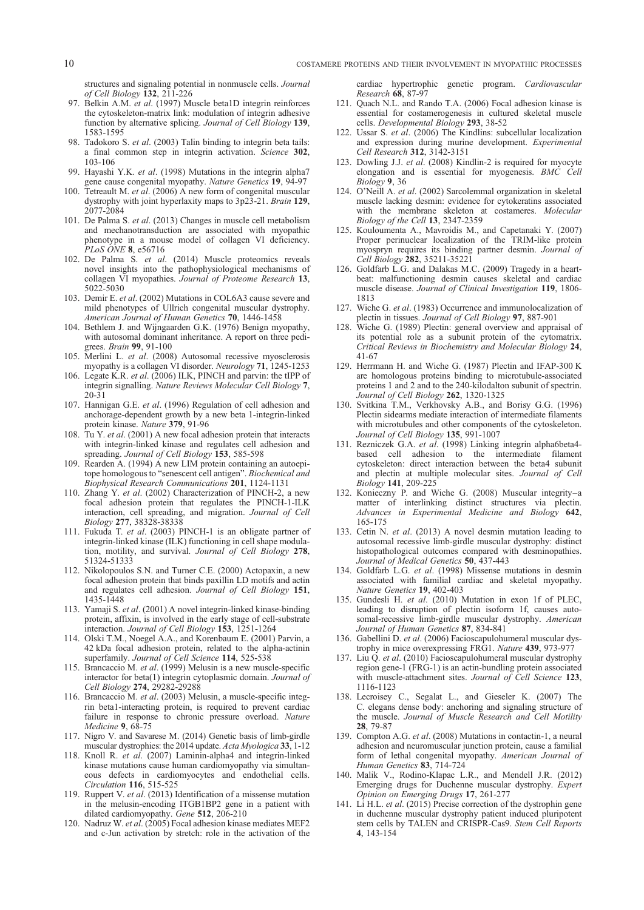<span id="page-9-0"></span>structures and signaling potential in nonmuscle cells. Journal of Cell Biology 132, 211-226

- 97. Belkin A.M. et al. (1997) Muscle beta1D integrin reinforces the cytoskeleton-matrix link: modulation of integrin adhesive function by alternative splicing. Journal of Cell Biology 139, 1583-1595
- 98. Tadokoro S. et al. (2003) Talin binding to integrin beta tails: a final common step in integrin activation. Science 302, 103-106
- 99. Hayashi Y.K. et al. (1998) Mutations in the integrin alpha7 gene cause congenital myopathy. Nature Genetics 19, 94-97
- 100. Tetreault M. et al. (2006) A new form of congenital muscular dystrophy with joint hyperlaxity maps to 3p23-21. Brain 129, 2077-2084
- 101. De Palma S. et al. (2013) Changes in muscle cell metabolism and mechanotransduction are associated with myopathic phenotype in a mouse model of collagen VI deficiency. PLoS ONE 8, e56716
- 102. De Palma S. et al. (2014) Muscle proteomics reveals novel insights into the pathophysiological mechanisms of collagen VI myopathies. Journal of Proteome Research 13, 5022-5030
- 103. Demir E. et al. (2002) Mutations in COL6A3 cause severe and mild phenotypes of Ullrich congenital muscular dystrophy. American Journal of Human Genetics 70, 1446-1458
- 104. Bethlem J. and Wijngaarden G.K. (1976) Benign myopathy, with autosomal dominant inheritance. A report on three pedigrees. Brain 99, 91-100
- 105. Merlini L. et al. (2008) Autosomal recessive myosclerosis myopathy is a collagen VI disorder. Neurology 71, 1245-1253
- 106. Legate K.R. et al. (2006) ILK, PINCH and parvin: the tIPP of integrin signalling. Nature Reviews Molecular Cell Biology 7, 20-31
- 107. Hannigan G.E. et al. (1996) Regulation of cell adhesion and anchorage-dependent growth by a new beta 1-integrin-linked protein kinase. Nature 379, 91-96
- 108. Tu Y. et al. (2001) A new focal adhesion protein that interacts with integrin-linked kinase and regulates cell adhesion and spreading. Journal of Cell Biology 153, 585-598
- 109. Rearden A. (1994) A new LIM protein containing an autoepitope homologous to "senescent cell antigen". Biochemical and Biophysical Research Communications 201, 1124-1131
- 110. Zhang Y. et al. (2002) Characterization of PINCH-2, a new focal adhesion protein that regulates the PINCH-1-ILK interaction, cell spreading, and migration. Journal of Cell Biology 277, 38328-38338
- 111. Fukuda T. et al. (2003) PINCH-1 is an obligate partner of integrin-linked kinase (ILK) functioning in cell shape modulation, motility, and survival. Journal of Cell Biology 278, 51324-51333
- 112. Nikolopoulos S.N. and Turner C.E. (2000) Actopaxin, a new focal adhesion protein that binds paxillin LD motifs and actin and regulates cell adhesion. Journal of Cell Biology 151, 1435-1448
- 113. Yamaji S. et al. (2001) A novel integrin-linked kinase-binding protein, affixin, is involved in the early stage of cell-substrate interaction. Journal of Cell Biology 153, 1251-1264
- 114. Olski T.M., Noegel A.A., and Korenbaum E. (2001) Parvin, a 42 kDa focal adhesion protein, related to the alpha-actinin superfamily. Journal of Cell Science 114, 525-538
- 115. Brancaccio M. et al. (1999) Melusin is a new muscle-specific interactor for beta(1) integrin cytoplasmic domain. Journal of Cell Biology 274, 29282-29288
- 116. Brancaccio M. et al. (2003) Melusin, a muscle-specific integrin beta1-interacting protein, is required to prevent cardiac failure in response to chronic pressure overload. Nature Medicine 9, 68-75
- 117. Nigro V. and Savarese M. (2014) Genetic basis of limb-girdle muscular dystrophies: the 2014 update. Acta Myologica 33, 1-12
- 118. Knoll R. et al. (2007) Laminin-alpha4 and integrin-linked kinase mutations cause human cardiomyopathy via simultaneous defects in cardiomyocytes and endothelial cells. Circulation 116, 515-525
- 119. Ruppert V. et al. (2013) Identification of a missense mutation in the melusin-encoding ITGB1BP2 gene in a patient with dilated cardiomyopathy. Gene 512, 206-210
- 120. Nadruz W. et al. (2005) Focal adhesion kinase mediates MEF2 and c-Jun activation by stretch: role in the activation of the

cardiac hypertrophic genetic program. Cardiovascular Research 68, 87-97

- 121. Quach N.L. and Rando T.A. (2006) Focal adhesion kinase is essential for costamerogenesis in cultured skeletal muscle cells. Developmental Biology 293, 38-52
- 122. Ussar S. et al. (2006) The Kindlins: subcellular localization and expression during murine development. Experimental Cell Research 312, 3142-3151
- 123. Dowling J.J. et al. (2008) Kindlin-2 is required for myocyte elongation and is essential for myogenesis. BMC Cell Biology 9, 36
- 124. O'Neill A. et al. (2002) Sarcolemmal organization in skeletal muscle lacking desmin: evidence for cytokeratins associated with the membrane skeleton at costameres. Molecular Biology of the Cell 13, 2347-2359
- 125. Kouloumenta A., Mavroidis M., and Capetanaki Y. (2007) Proper perinuclear localization of the TRIM-like protein myospryn requires its binding partner desmin. Journal of Cell Biology 282, 35211-35221
- 126. Goldfarb L.G. and Dalakas M.C. (2009) Tragedy in a heartbeat: malfunctioning desmin causes skeletal and cardiac muscle disease. Journal of Clinical Investigation 119, 1806- 1813
- 127. Wiche G. et al. (1983) Occurrence and immunolocalization of plectin in tissues. Journal of Cell Biology 97, 887-901
- 128. Wiche G. (1989) Plectin: general overview and appraisal of its potential role as a subunit protein of the cytomatrix. Critical Reviews in Biochemistry and Molecular Biology 24, 41-67
- 129. Herrmann H. and Wiche G. (1987) Plectin and IFAP-300 K are homologous proteins binding to microtubule-associated proteins 1 and 2 and to the 240-kilodalton subunit of spectrin. Journal of Cell Biology 262, 1320-1325
- 130. Svitkina T.M., Verkhovsky A.B., and Borisy G.G. (1996) Plectin sidearms mediate interaction of intermediate filaments with microtubules and other components of the cytoskeleton. Journal of Cell Biology 135, 991-1007
- 131. Rezniczek G.A. et al. (1998) Linking integrin alpha6beta4-based cell adhesion to the intermediate filament adhesion to the intermediate filament cytoskeleton: direct interaction between the beta4 subunit and plectin at multiple molecular sites. Journal of Cell Biology 141, 209-225
- 132. Konieczny P. and Wiche G. (2008) Muscular integrity–a matter of interlinking distinct structures via plectin. Advances in Experimental Medicine and Biology 642, 165-175
- 133. Cetin N. et al. (2013) A novel desmin mutation leading to autosomal recessive limb-girdle muscular dystrophy: distinct histopathological outcomes compared with desminopathies. Journal of Medical Genetics 50, 437-443
- 134. Goldfarb L.G. et al. (1998) Missense mutations in desmin associated with familial cardiac and skeletal myopathy. Nature Genetics 19, 402-403
- 135. Gundesli H. et al. (2010) Mutation in exon 1f of PLEC, leading to disruption of plectin isoform 1f, causes autosomal-recessive limb-girdle muscular dystrophy. American Journal of Human Genetics 87, 834-841
- 136. Gabellini D. et al. (2006) Facioscapulohumeral muscular dystrophy in mice overexpressing FRG1. Nature 439, 973-977
- 137. Liu Q. et al. (2010) Facioscapulohumeral muscular dystrophy region gene-1 (FRG-1) is an actin-bundling protein associated with muscle-attachment sites. Journal of Cell Science 123, 1116-1123
- 138. Lecroisey C., Segalat L., and Gieseler K. (2007) The C. elegans dense body: anchoring and signaling structure of the muscle. Journal of Muscle Research and Cell Motility 28, 79-87
- 139. Compton A.G. et al. (2008) Mutations in contactin-1, a neural adhesion and neuromuscular junction protein, cause a familial form of lethal congenital myopathy. American Journal of Human Genetics 83, 714-724
- 140. Malik V., Rodino-Klapac L.R., and Mendell J.R. (2012) Emerging drugs for Duchenne muscular dystrophy. Expert Opinion on Emerging Drugs 17, 261-277
- 141. Li H.L. et al. (2015) Precise correction of the dystrophin gene in duchenne muscular dystrophy patient induced pluripotent stem cells by TALEN and CRISPR-Cas9. Stem Cell Reports 4, 143-154